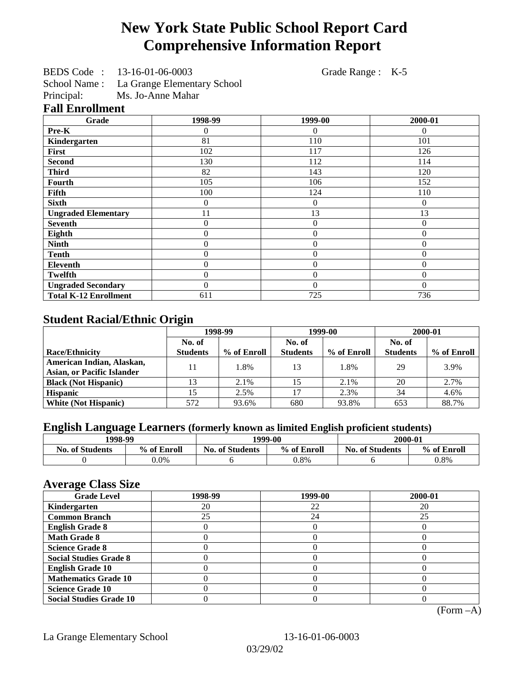# **New York State Public School Report Card Comprehensive Information Report**

BEDS Code : 13-16-01-06-0003 Grade Range : K-5

School Name : La Grange Elementary School<br>Principal: Ms. Jo-Anne Mahar

Ms. Jo-Anne Mahar

## **Fall Enrollment**

| Grade                        | 1998-99        | 1999-00          | 2000-01  |
|------------------------------|----------------|------------------|----------|
| Pre-K                        | 0              | 0                | $\Omega$ |
| Kindergarten                 | 81             | 110              | 101      |
| First                        | 102            | 117              | 126      |
| <b>Second</b>                | 130            | 112              | 114      |
| <b>Third</b>                 | 82             | 143              | 120      |
| <b>Fourth</b>                | 105            | 106              | 152      |
| Fifth                        | 100            | 124              | 110      |
| <b>Sixth</b>                 | 0              | $\overline{0}$   | $\Omega$ |
| <b>Ungraded Elementary</b>   | 11             | 13               | 13       |
| <b>Seventh</b>               | $\theta$       | $\boldsymbol{0}$ | $\theta$ |
| Eighth                       | $\theta$       | $\overline{0}$   | $\Omega$ |
| <b>Ninth</b>                 | $\overline{0}$ | $\overline{0}$   | $\theta$ |
| <b>Tenth</b>                 | $\overline{0}$ | $\overline{0}$   | $\theta$ |
| <b>Eleventh</b>              | $\overline{0}$ | $\overline{0}$   | $\theta$ |
| <b>Twelfth</b>               | $\overline{0}$ | $\overline{0}$   | $\Omega$ |
| <b>Ungraded Secondary</b>    | $\Omega$       | $\Omega$         | $\Omega$ |
| <b>Total K-12 Enrollment</b> | 611            | 725              | 736      |

# **Student Racial/Ethnic Origin**

|                                   | 1998-99         |             | 1999-00         |             | 2000-01         |             |
|-----------------------------------|-----------------|-------------|-----------------|-------------|-----------------|-------------|
|                                   | No. of          |             | No. of          |             | No. of          |             |
| <b>Race/Ethnicity</b>             | <b>Students</b> | % of Enroll | <b>Students</b> | % of Enroll | <b>Students</b> | % of Enroll |
| American Indian, Alaskan,         | 11              | 1.8%        | 13              | 1.8%        | 29              | 3.9%        |
| <b>Asian, or Pacific Islander</b> |                 |             |                 |             |                 |             |
| <b>Black (Not Hispanic)</b>       |                 | 2.1%        | 15              | 2.1%        | 20              | 2.7%        |
| <b>Hispanic</b>                   |                 | 2.5%        | 17              | 2.3%        | 34              | 4.6%        |
| <b>White (Not Hispanic)</b>       | 572             | 93.6%       | 680             | 93.8%       | 653             | 88.7%       |

# **English Language Learners (formerly known as limited English proficient students)**

| 1998-99                |             | 1999-00                |             | 2000-01                |             |
|------------------------|-------------|------------------------|-------------|------------------------|-------------|
| <b>No. of Students</b> | % of Enroll | <b>No. of Students</b> | % of Enroll | <b>No. of Students</b> | % of Enroll |
|                        | $0.0\%$     |                        | $0.8\%$     |                        | 0.8%        |

#### **Average Class Size**

| <b>Grade Level</b>             | 1998-99 | 1999-00 | 2000-01 |
|--------------------------------|---------|---------|---------|
| Kindergarten                   | 20      | 22      | 20      |
| <b>Common Branch</b>           | 25      | 24      | 25      |
| <b>English Grade 8</b>         |         |         |         |
| <b>Math Grade 8</b>            |         |         |         |
| <b>Science Grade 8</b>         |         |         |         |
| <b>Social Studies Grade 8</b>  |         |         |         |
| <b>English Grade 10</b>        |         |         |         |
| <b>Mathematics Grade 10</b>    |         |         |         |
| <b>Science Grade 10</b>        |         |         |         |
| <b>Social Studies Grade 10</b> |         |         |         |

(Form –A)